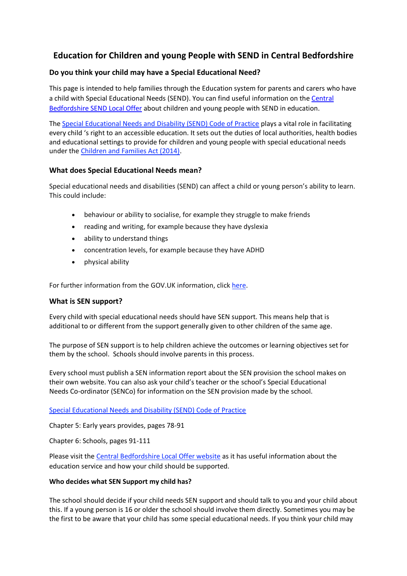# **Education for Children and young People with SEND in Central Bedfordshire**

## **Do you think your child may have a Special Educational Need?**

This page is intended to help families through the Education system for parents and carers who have a child with Special Educational Needs (SEND). You can find useful information on th[e Central](https://localoffer.centralbedfordshire.gov.uk/kb5/centralbedfordshire/directory/home.page)  [Bedfordshire SEND Local Offer](https://localoffer.centralbedfordshire.gov.uk/kb5/centralbedfordshire/directory/home.page) about children and young people with SEND in education.

The [Special Educational Needs and Disability \(SEND\) Code of Practice](https://www.gov.uk/government/publications/send-code-of-practice-0-to-25) plays a vital role in facilitating every child 's right to an accessible education. It sets out the duties of local authorities, health bodies and educational settings to provide for children and young people with special educational needs under the [Children and Families Act \(2014\).](https://www.legislation.gov.uk/ukpga/2014/6/contents)

### **What does Special Educational Needs mean?**

Special educational needs and disabilities (SEND) can affect a child or young person's ability to learn. This could include:

- behaviour or ability to socialise, for example they struggle to make friends
- reading and writing, for example because they have dyslexia
- ability to understand things
- concentration levels, for example because they have ADHD
- physical ability

For further information from the GOV.UK information, click [here.](https://www.gov.uk/children-with-special-educational-needs)

### **What is SEN support?**

Every child with special educational needs should have SEN support. This means help that is additional to or different from the support generally given to other children of the same age.

The purpose of SEN support is to help children achieve the outcomes or learning objectives set for them by the school. Schools should involve parents in this process.

Every school must publish a SEN information report about the SEN provision the school makes on their own website. You can also ask your child's teacher or the school's Special Educational Needs Co-ordinator (SENCo) for information on the SEN provision made by the school.

[Special Educational Needs and Disability \(SEND\) Code of Practice](https://www.gov.uk/government/publications/send-code-of-practice-0-to-25)

Chapter 5: Early years provides, pages 78-91

Chapter 6: Schools, pages 91-111

Please visit the [Central Bedfordshire Local Offer website](https://localoffer.centralbedfordshire.gov.uk/kb5/centralbedfordshire/directory/localoffer.page?localofferchannel=1) as it has useful information about the education service and how your child should be supported.

#### **Who decides what SEN Support my child has?**

The school should decide if your child needs SEN support and should talk to you and your child about this. If a young person is 16 or older the school should involve them directly. Sometimes you may be the first to be aware that your child has some special educational needs. If you think your child may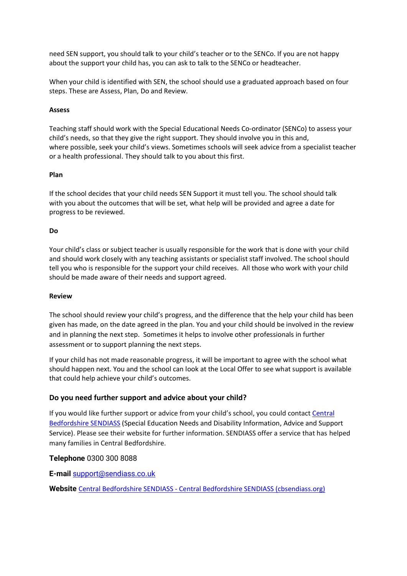need SEN support, you should talk to your child's teacher or to the SENCo. If you are not happy about the support your child has, you can ask to talk to the SENCo or headteacher.

When your child is identified with SEN, the school should use a graduated approach based on four steps. These are Assess, Plan, Do and Review.

#### **Assess**

Teaching staff should work with the Special Educational Needs Co-ordinator (SENCo) to assess your child's needs, so that they give the right support. They should involve you in this and, where possible, seek your child's views. Sometimes schools will seek advice from a specialist teacher or a health professional. They should talk to you about this first.

### **Plan**

If the school decides that your child needs SEN Support it must tell you. The school should talk with you about the outcomes that will be set, what help will be provided and agree a date for progress to be reviewed.

### **Do**

Your child's class or subject teacher is usually responsible for the work that is done with your child and should work closely with any teaching assistants or specialist staff involved. The school should tell you who is responsible for the support your child receives. All those who work with your child should be made aware of their needs and support agreed.

#### **Review**

The school should review your child's progress, and the difference that the help your child has been given has made, on the date agreed in the plan. You and your child should be involved in the review and in planning the next step. Sometimes it helps to involve other professionals in further assessment or to support planning the next steps.

If your child has not made reasonable progress, it will be important to agree with the school what should happen next. You and the school can look at the Local Offer to see what support is available that could help achieve your child's outcomes.

### **Do you need further support and advice about your child?**

If you would like further support or advice from your child's school, you could contact Central [Bedfordshire SENDIASS](https://cbsendiass.org/) (Special Education Needs and Disability Information, Advice and Support Service). Please see their website for further information. SENDIASS offer a service that has helped many families in Central Bedfordshire.

### **Telephone** 0300 300 8088

**E-mail** [support@sendiass.co.uk](mailto:support@sendiass.co.uk)

**Website** Central Bedfordshire SENDIASS - [Central Bedfordshire SENDIASS \(cbsendiass.org\)](https://cbsendiass.org/)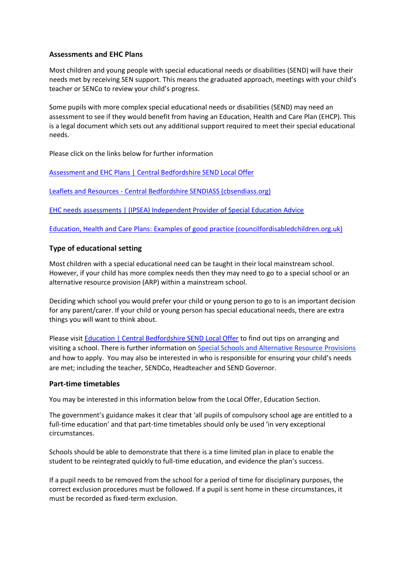### **Assessments and EHC Plans**

Most children and young people with special educational needs or disabilities (SEND) will have their needs met by receiving SEN support. This means the graduated approach, meetings with your child's teacher or SENCo to review your child's progress.

Some pupils with more complex special educational needs or disabilities (SEND) may need an assessment to see if they would benefit from having an Education, Health and Care Plan (EHCP). This is a legal document which sets out any additional support required to meet their special educational needs.

Please click on the links below for further information

Assessment and EHC Plans | [Central Bedfordshire SEND Local Offer](https://localoffer.centralbedfordshire.gov.uk/kb5/centralbedfordshire/directory/site.page?id=16qpJt5H0fI)

Leaflets and Resources - [Central Bedfordshire SENDIASS \(cbsendiass.org\)](https://cbsendiass.org/leaflets-and-resources/#EHC-needs)

[EHC needs assessments | \(IPSEA\) Independent Provider of Special Education Advice](https://www.ipsea.org.uk/ehc-needs-assessments)

[Education, Health and Care Plans: Examples of good practice \(councilfordisabledchildren.org.uk\)](https://councilfordisabledchildren.org.uk/resources/all-resources/filter/education-and-learning/education-health-and-care-plans-examples-good?gclid=CjwKCAjwp7eUBhBeEiwAZbHwkX3jkIsLbgcxC5-5VIGlGi6S4Jd6Ytetp-wILORoD83tDaAn8Y6QkRoCYmQQAvD_BwE)

### **Type of educational setting**

Most children with a special educational need can be taught in their local mainstream school. However, if your child has more complex needs then they may need to go to a special school or an alternative resource provision (ARP) within a mainstream school.

Deciding which school you would prefer your child or young person to go to is an important decision for any parent/carer. If your child or young person has special educational needs, there are extra things you will want to think about.

Please visit Education | [Central Bedfordshire SEND Local Offer](https://localoffer.centralbedfordshire.gov.uk/kb5/centralbedfordshire/directory/localoffer.page?localofferchannel=1) to find out tips on arranging and visiting a school. There is further information on [Special Schools and Alternative Resource Provisions](https://localoffer.centralbedfordshire.gov.uk/kb5/centralbedfordshire/directory/advice.page?id=ORubCEAXxpk) and how to apply. You may also be interested in who is responsible for ensuring your child's needs are met; including the teacher, SENDCo, Headteacher and SEND Governor.

#### **Part-time timetables**

You may be interested in this information below from the Local Offer, Education Section.

The government's guidance makes it clear that 'all pupils of compulsory school age are entitled to a full-time education' and that part-time timetables should only be used 'in very exceptional circumstances.

Schools should be able to demonstrate that there is a time limited plan in place to enable the student to be reintegrated quickly to full-time education, and evidence the plan's success.

If a pupil needs to be removed from the school for a period of time for disciplinary purposes, the correct exclusion procedures must be followed. If a pupil is sent home in these circumstances, it must be recorded as fixed-term exclusion.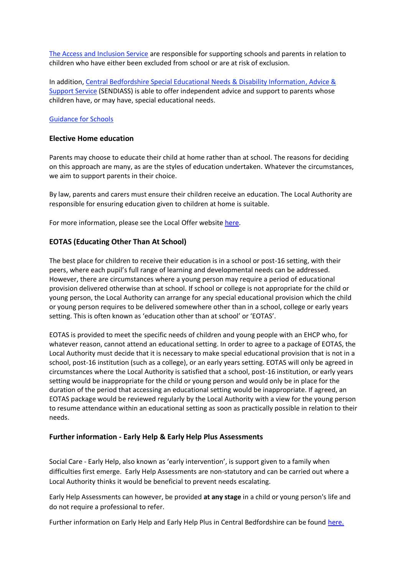The Access and Inclusion Service are responsible for supporting schools and parents in relation to children who have either been excluded from school or are at risk of exclusion.

In addition, Central Bedfordshire Special Educational Needs & Disability Information, Advice & Support Service (SENDIASS) is able to offer independent advice and support to parents whose children have, or may have, special educational needs.

#### Guidance for Schools

#### **Elective Home education**

Parents may choose to educate their child at home rather than at school. The reasons for deciding on this approach are many, as are the styles of education undertaken. Whatever the circumstances, we aim to support parents in their choice.

By law, parents and carers must ensure their children receive an education. The Local Authority are responsible for ensuring education given to children at home is suitable.

For more information, please see the Local Offer website here.

### **EOTAS (Educating Other Than At School)**

The best place for children to receive their education is in a school or post-16 setting, with their peers, where each pupil's full range of learning and developmental needs can be addressed. However, there are circumstances where a young person may require a period of educational provision delivered otherwise than at school. If school or college is not appropriate for the child or young person, the Local Authority can arrange for any special educational provision which the child or young person requires to be delivered somewhere other than in a school, college or early years setting. This is often known as 'education other than at school' or 'EOTAS'.

EOTAS is provided to meet the specific needs of children and young people with an EHCP who, for whatever reason, cannot attend an educational setting. In order to agree to a package of EOTAS, the Local Authority must decide that it is necessary to make special educational provision that is not in a school, post-16 institution (such as a college), or an early years setting. EOTAS will only be agreed in circumstances where the Local Authority is satisfied that a school, post-16 institution, or early years setting would be inappropriate for the child or young person and would only be in place for the duration of the period that accessing an educational setting would be inappropriate. If agreed, an EOTAS package would be reviewed regularly by the Local Authority with a view for the young person to resume attendance within an educational setting as soon as practically possible in relation to their needs.

#### **Further information - Early Help & Early Help Plus Assessments**

Social Care - Early Help, also known as 'early intervention', is support given to a family when difficulties first emerge. Early Help Assessments are non-statutory and can be carried out where a Local Authority thinks it would be beneficial to prevent needs escalating.

Early Help Assessments can however, be provided **at any stage** in a child or young person's life and do not require a professional to refer.

Further information on Early Help and Early Help Plus in Central Bedfordshire can be found here.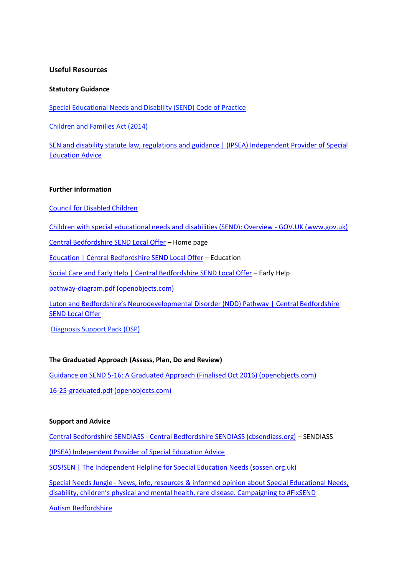### **Useful Resources**

#### **Statutory Guidance**

Special Educational Needs and Disability (SEND) Code of Practice

Children and Families Act (2014)

SEN and disability statute law, regulations and guidance | (IPSEA) Independent Provider of Special Education Advice

#### **Further information**

Council for Disabled Children

Children with special educational needs and disabilities (SEND): Overview - GOV.UK (www.gov.uk)

Central Bedfordshire SEND Local Offer – Home page

Education | Central Bedfordshire SEND Local Offer – Education

Social Care and Early Help | Central Bedfordshire SEND Local Offer – Early Help

pathway-diagram.pdf (openobjects.com)

Luton and Bedfordshire's Neurodevelopmental Disorder (NDD) Pathway | Central Bedfordshire SEND Local Offer

Diagnosis Support Pack (DSP)

#### **The Graduated Approach (Assess, Plan, Do and Review)**

Guidance on SEND 5-16: A Graduated Approach (Finalised Oct 2016) (openobjects.com) 16-25-graduated.pdf (openobjects.com)

#### **Support and Advice**

Central Bedfordshire SENDIASS - Central Bedfordshire SENDIASS (cbsendiass.org) – SENDIASS (IPSEA) Independent Provider of Special Education Advice

SOS!SEN | The Independent Helpline for Special Education Needs (sossen.org.uk)

Special Needs Jungle - News, info, resources & informed opinion about Special Educational Needs, disability, children's physical and mental health, rare disease. Campaigning to #FixSEND

Autism Bedfordshire